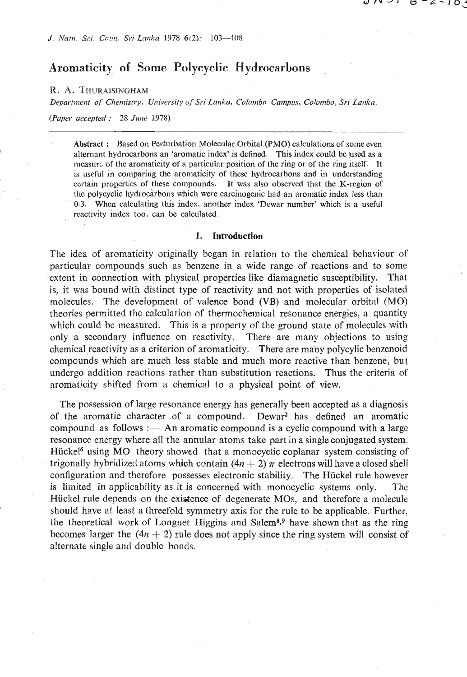**J.** *PJatn.* Sci. *Gomi. Sri Lankn* **1978 6t2): 103-108** 

# **Aromaticity of Some Polycyclic Hydrocarbons**

### **R. A. THURAISINGHAM**

*Department of Chemistry, University of Sri Lanka, Colombo Campus, Colombo, Sri Lanka,* 

*(Paper accepted* : 28 *June* 1978)

**Abstract** : **Based on Perturbation Molecular Orbital (PMO) calculations of some even**  alternant hydrocarbons an 'aromatic index' is defined. This index could be used as a **measurr, of the aromaticity of a particular position of the ring or of the ring itself. IF**  is useful in comparing the aromaticity of these hydrocarbons and in understanding certain properties of these compounds. It was also observed that the K-region of the polycyclic hydrocarbons which were carcinogenic had an aromatic index less than **0.3. When calculating this index. another index 'Dewar number' which is a useful reactivity index too, can be calculated.** 

#### **1. Introduction**

The idea of aromaticity originally began in relation to the chemical behaviour of particular compounds such as benzene in a wide range of reactions and to some extent in connection with physical properties like diamagnetic susceptibility. That is, it was bound with distinct type of reactivity and not with properties of isolated molecules. The development of valence bond (VB) and molecular orbital **(MO)**  theories permitted the calculation of thermochemical resonance energies, a quantity which could be measured. This is a property of the ground state of molecules with only a secondary influence on reactivity. There are many objections to using chemical reactivity as a criterion of aromaticity. There are many polycylic benzenoid compounds which are much less stable and much more reactive than benzene, but undergo addition reactions rather than substitution reactions. Thus the criteria of aromaticity shifted from a chemical to a physical point of view.

The possession of large resonance energy has generally been accepted as a diagnosis of the aromatic character of a compound. Dewar<sup>2</sup> has defined an aromatic compound as follows :— An aromatic compound is a cyclic compound with a large resonance energy where all the annular atoms take part in a single conjugated system. Hücke<sup>16</sup> using MO theory showed that a monocyclic coplanar system consisting of trigonally hybridized atoms which contain  $(4n + 2)$   $\pi$  electrons will have a closed shell configuration and therefore possesses electronic stability. The Hückel rule however is limited in applicability as it is concerned with monocyclic systems only. The Hiickel rule depends on the existence of degenerate **MOs,** and therefore a molecule should have at least a threefold symmetry axis for the rule to be applicable. Further, the theoretical work of Longuet Higgins and Salem<sup>8,9</sup> have shown that as the ring becomes larger the  $(4n + 2)$  rule does not apply since the ring system will consist of alternate single and double bonds.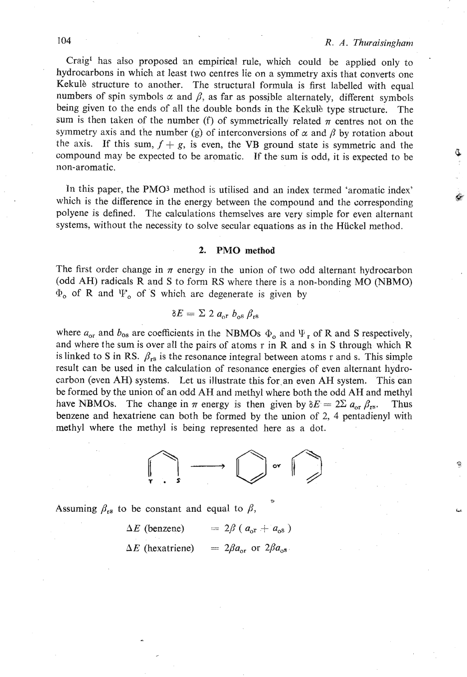Q.

Craig<sup>1</sup> has also proposed an empirical rule, which could be applied only to hydrocarbons in which at least two centres lie on a symmetry axis that converts one Kekulè structure to another. The structural formula is first labelled with equal numbers of spin symbols  $\alpha$  and  $\beta$ , as far as possible alternately, different symbols being given to the ends of all the double bonds in the Kekulè type structure. The sum is then taken of the number (f) of symmetrically related  $\pi$  centres not on the symmetry axis and the number (g) of interconversions of  $\alpha$  and  $\beta$  by rotation about the axis. If this sum,  $f + g$ , is even, the VB ground state is symmetric and the compound may be expected to be aromatic. If the sum is odd, it is expected to be non-aromatic.

In this paper, the PMO3 method is utilised and an index termed 'aromatic index' which is the difference in the energy between the compound and the corresponding polyene is defined. The calculations themselves are very simple for even alternant systems, without the necessity to solve secular equations as in the Hiickel method.

### **2. PMO method**

The first order change in  $\pi$  energy in the union of two odd alternant hydrocarbon (odd AH) radicals R and **S** to form **KS** where these is a non-bonding MO (NBMO) **cb,** of R and 'IP, of **S** which arc degenerate is given by

$$
\delta E = \Sigma 2 a_{\rm or} b_{\rm os} \beta_{\rm rs}
$$

where  $a_{\text{or}}$  and  $b_{\text{os}}$  are coefficients in the NBMOs  $\Phi_{\text{o}}$  and  $\Psi_{\text{r}}$  of **R** and **S** respectively, and where the sum is over all the pairs of atoms r in R and s in **S** through which R is linked to S in RS.  $\beta_{rs}$  is the resonance integral between atoms r and s. This simple result can be used in the calculation of resonance energies of even alternant hydrocarbon (even AH) systems. Let us illustrate this for an even AH system. This can be formed by the union of an odd AH and methyl where both the odd AH and methyl have NBMOs. The change in  $\pi$  energy is then given by  $\delta E = 2\Sigma a_{\text{or}} \beta_{\text{rs}}$ . Thus benzene and hexatriene can both be formed by the union of 2, 4 pentadienyl with methyl where the methyl is being represented here as a dot.



Assuming  $\beta_{rs}$  to be constant and equal to  $\beta$ ,

 $\Delta E$  (benzene) =  $2\beta$  ( $a_{\text{or}} + a_{\text{os}}$ )

 $\Delta E$  (hexatriene) =  $2\beta a_{\rm or}$  or  $2\beta a_{\rm os}$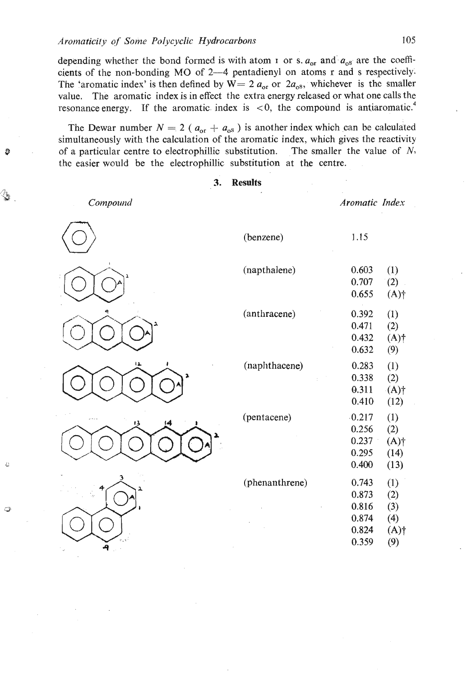depending whether the bond formed is with atom 1 or s.  $a_{\rm or}$  and  $a_{\rm os}$  are the coefficients of the non-bonding MO of 2-4 pentadienyl on atoms r and s respectively. The 'aromatic index' is then defined by  $W = 2 a_{\text{or}}$  or  $2 a_{\text{os}}$ , whichever is the smaller value. The aromatic index is in effect the extra energy released or what one calls the resonance energy. If the aromatic index is  $\langle 0, \rangle$  the compound is antiaromatic.<sup>4</sup>

The Dewar number  $N = 2$  ( $a_{\text{or}} + a_{\text{os}}$ ) is another index which can be calculated simultaneously with the calculation of the aromatic index, which gives the reactivity of a particular centre to electrophillic substitution. The smaller the value of  $N$ , the easier would be the electrophillic substitution at the centre.

## **3. Results**

Compound

G

Aromatic Index



| (napthalene)   | 0.603<br>0.707<br>0.655                            | (1)<br>(2)<br>$(A)$ †                      |
|----------------|----------------------------------------------------|--------------------------------------------|
| (anthracene)   | 0.392<br>0.471<br>0.432<br>0.632                   | (1)<br>(2)<br>$(A)$ †<br>(9)               |
| (naphthacene)  | 0.283<br>0.338<br>0.311<br>0.410                   | (1)<br>(2)<br>(A)<br>(12)                  |
| (pentacene)    | 0.217<br>0.256<br>0.237<br>0.295<br>0.400          | (1)<br>(2)<br>(A)<br>(14)<br>(13)          |
| (phenanthrene) | 0.743<br>0.873<br>0.816<br>0.874<br>0.824<br>0.359 | (1)<br>(2)<br>(3)<br>(4)<br>$(A)$ †<br>(9) |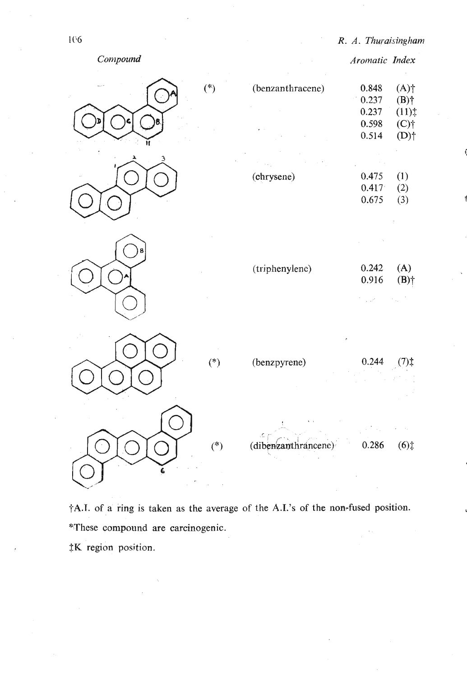



 $\dagger$ A.I. of a ring is taken as the average of the A.I.'s of the non-fused position. **\*These compound are carcinogenic. \$K region position.**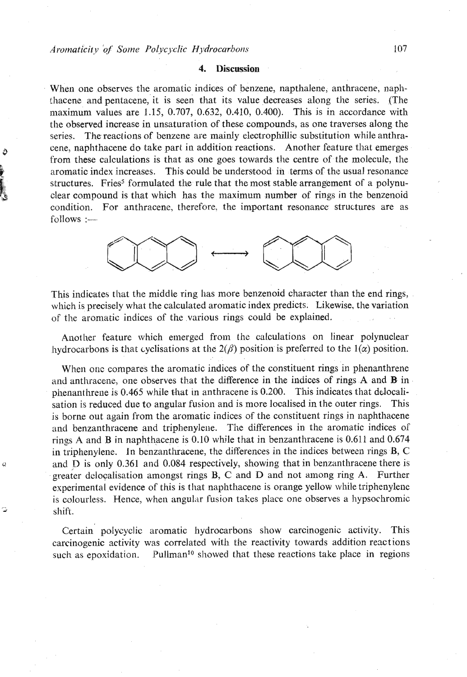### **4. Discussion**

When one observes the aromatic indices of benzene, napthalene, anthracene, naph- !hacene and pentacene, it is seen that its value decreases along the series. (The maximum values are  $1.15$ , 0.707, 0.632, 0.410, 0.400). This is in accordance with the observed increase in unsaturation of these compounds, as one traverses along the series. The reactions of benzene are mainly electrophillic substitution while anthra-**<sup>0</sup>**cene, naphthacene do take part in addition reactions. Another feature that emerges from these calculations is that as one goes towards the centre of the molecule, the **<sup>a</sup>**aromatic index increases. This could be understood in terms of the usual resonance structures. Fries<sup>5</sup> formulated the rule that the most stable arrangement of a polynuclear compound is that which has the maximum number of rings in the benzenoid condition. For anthracenc, therefore, the important resonance structures are as  $follows :=$ 



This indicates that the middle ring has more benzenoid character than the end rings, which is precisely what the calculated aromatic index predicts. Likewise, the variation of the aromatic indices of the various rings could be explained.

Another feature which emerged from the calculations on linear polynuclear hydrocarbons is that cyclisations at the  $2(\beta)$  position is preferred to the  $1(\alpha)$  position.

When one compares the aromatic indices of the constituent rings in phenanthrene and anthracene, one observes that the difference in the indices of rings A and B in phenanthrene is  $0.465$  while that in anthracene is  $0.200$ . This indicates that delocalisation is reduced due to angular fusion and is more localised in the outer rings. This is borne out again from the aromatic indices of the constituent rings in naphthacene and benzanthracene and triphenylene. The differences in the aromatic indices of rings A and B in naphthacene is 0.10 while that in benzanthracene is 0.611 and 0.674 in triphenylene. In benzanthracene, the differences in the indices between rings B, *C*  **u** and D is only 0.361 and 0.084 respectively, showing that in benzanthracene there is gveater dclocalisation amongst rings B, *C* and D and not among ring **A.** Further experimental evidence of this is that naphthacene is orange yellow while triphenylene is colourless. Hence, when angular fusion takes place one observes a hypsochromic **<sup>d</sup>**shift.

> Certain polycyclic aromatic hydrocarbons show carcinogenic activity. This carcinogenic activity was correlated with the reactivity towards addition reactions such as epoxidation. Pullman<sup>10</sup> showed that these reactions take place in regions